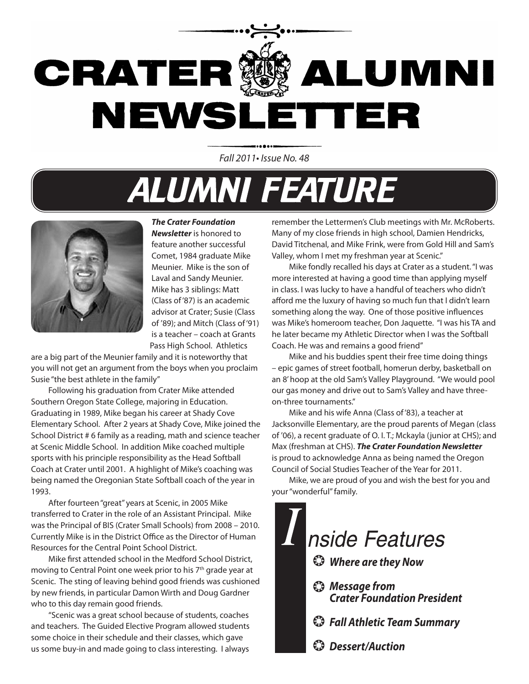

Fall 2011• Issue No. 48

## **ALUMNI FEATURE**



#### *The Crater Foundation*

*Newsletter* is honored to feature another successful Comet, 1984 graduate Mike Meunier. Mike is the son of Laval and Sandy Meunier. Mike has 3 siblings: Matt (Class of '87) is an academic advisor at Crater; Susie (Class of '89); and Mitch (Class of '91) is a teacher – coach at Grants Pass High School. Athletics

are a big part of the Meunier family and it is noteworthy that you will not get an argument from the boys when you proclaim Susie "the best athlete in the family"

Following his graduation from Crater Mike attended Southern Oregon State College, majoring in Education. Graduating in 1989, Mike began his career at Shady Cove Elementary School. After 2 years at Shady Cove, Mike joined the School District # 6 family as a reading, math and science teacher at Scenic Middle School. In addition Mike coached multiple sports with his principle responsibility as the Head Softball Coach at Crater until 2001. A highlight of Mike's coaching was being named the Oregonian State Softball coach of the year in 1993.

After fourteen "great" years at Scenic, in 2005 Mike transferred to Crater in the role of an Assistant Principal. Mike was the Principal of BIS (Crater Small Schools) from 2008 – 2010. Currently Mike is in the District Office as the Director of Human Resources for the Central Point School District.

Mike first attended school in the Medford School District, moving to Central Point one week prior to his 7<sup>th</sup> grade year at Scenic. The sting of leaving behind good friends was cushioned by new friends, in particular Damon Wirth and Doug Gardner who to this day remain good friends.

"Scenic was a great school because of students, coaches and teachers. The Guided Elective Program allowed students some choice in their schedule and their classes, which gave us some buy-in and made going to class interesting. I always

remember the Lettermen's Club meetings with Mr. McRoberts. Many of my close friends in high school, Damien Hendricks, David Titchenal, and Mike Frink, were from Gold Hill and Sam's Valley, whom I met my freshman year at Scenic."

Mike fondly recalled his days at Crater as a student. "I was more interested at having a good time than applying myself in class. I was lucky to have a handful of teachers who didn't afford me the luxury of having so much fun that I didn't learn something along the way. One of those positive influences was Mike's homeroom teacher, Don Jaquette. "I was his TA and he later became my Athletic Director when I was the Softball Coach. He was and remains a good friend"

Mike and his buddies spent their free time doing things – epic games of street football, homerun derby, basketball on an 8' hoop at the old Sam's Valley Playground. "We would pool our gas money and drive out to Sam's Valley and have threeon-three tournaments."

Mike and his wife Anna (Class of '83), a teacher at Jacksonville Elementary, are the proud parents of Megan (class of '06), a recent graduate of O. I. T.; Mckayla (junior at CHS); and Max (freshman at CHS). *The Crater Foundation Newsletter*  is proud to acknowledge Anna as being named the Oregon Council of Social Studies Teacher of the Year for 2011.

Mike, we are proud of you and wish the best for you and your "wonderful" family.

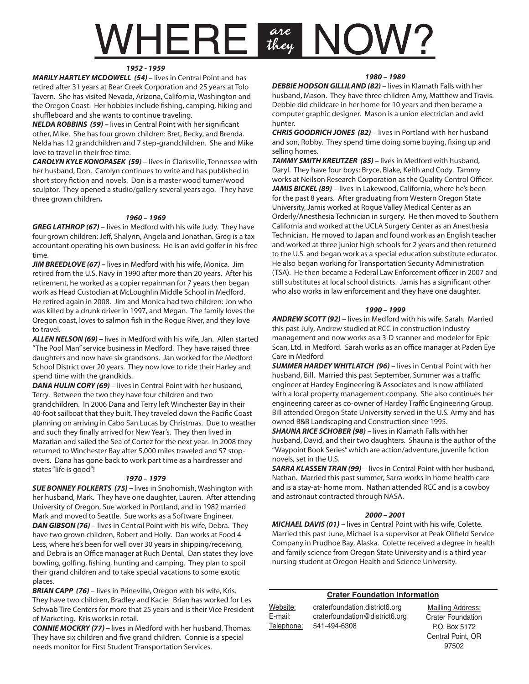# $VHERE$   $\frac{ave}{tkey}$

#### *1952 - 1959*

*MARILY HARTLEY MCDOWELL (54) –* lives in Central Point and has retired after 31 years at Bear Creek Corporation and 25 years at Tolo Tavern. She has visited Nevada, Arizona, California, Washington and the Oregon Coast. Her hobbies include fishing, camping, hiking and shuffleboard and she wants to continue traveling.

*NELDA ROBBINS (59) –* lives in Central Point with her significant other, Mike. She has four grown children: Bret, Becky, and Brenda. Nelda has 12 grandchildren and 7 step-grandchildren. She and Mike love to travel in their free time.

*CAROLYN KYLE KONOPASEK (59)* – lives in Clarksville, Tennessee with her husband, Don. Carolyn continues to write and has published in short story fiction and novels. Don is a master wood turner/wood sculptor. They opened a studio/gallery several years ago. They have three grown children*.*

#### *1960 – 1969*

*GREG LATHROP (67)* – lives in Medford with his wife Judy. They have four grown children: Jeff, Shalynn, Angela and Jonathan. Greg is a tax accountant operating his own business. He is an avid golfer in his free time.

*JIM BREEDLOVE (67) –* lives in Medford with his wife, Monica. Jim retired from the U.S. Navy in 1990 after more than 20 years. After his retirement, he worked as a copier repairman for 7 years then began work as Head Custodian at McLoughlin Middle School in Medford. He retired again in 2008. Jim and Monica had two children: Jon who was killed by a drunk driver in 1997, and Megan. The family loves the Oregon coast, loves to salmon fish in the Rogue River, and they love to travel.

*ALLEN NELSON (69) –* lives in Medford with his wife, Jan. Allen started "The Pool Man" service business in Medford. They have raised three daughters and now have six grandsons. Jan worked for the Medford School District over 20 years. They now love to ride their Harley and spend time with the grandkids.

**DANA HULIN CORY (69)** – lives in Central Point with her husband, Terry. Between the two they have four children and two grandchildren. In 2006 Dana and Terry left Winchester Bay in their 40-foot sailboat that they built. They traveled down the Pacific Coast planning on arriving in Cabo San Lucas by Christmas. Due to weather and such they finally arrived for New Year's. They then lived in Mazatlan and sailed the Sea of Cortez for the next year. In 2008 they returned to Winchester Bay after 5,000 miles traveled and 57 stopovers. Dana has gone back to work part time as a hairdresser and states "life is good"!

#### *1970 – 1979*

*SUE BONNEY FOLKERTS (75) –* lives in Snohomish, Washington with her husband, Mark. They have one daughter, Lauren. After attending University of Oregon, Sue worked in Portland, and in 1982 married Mark and moved to Seattle. Sue works as a Software Engineer. *DAN GIBSON (76)* – lives in Central Point with his wife, Debra. They have two grown children, Robert and Holly. Dan works at Food 4 Less, where he's been for well over 30 years in shipping/receiving, and Debra is an Office manager at Ruch Dental. Dan states they love bowling, golfing, fishing, hunting and camping. They plan to spoil their grand children and to take special vacations to some exotic places.

**BRIAN CAPP (76)** – lives in Prineville, Oregon with his wife, Kris. They have two children, Bradley and Kacie. Brian has worked for Les Schwab Tire Centers for more that 25 years and is their Vice President of Marketing. Kris works in retail.

*CONNIE MOCKRY (77) –* lives in Medford with her husband, Thomas. They have six children and five grand children. Connie is a special needs monitor for First Student Transportation Services.

#### *1980 – 1989*

*DEBBIE HODSON GILLILAND (82)* – lives in Klamath Falls with her husband, Mason. They have three children Amy, Matthew and Travis. Debbie did childcare in her home for 10 years and then became a computer graphic designer. Mason is a union electrician and avid hunter.

*CHRIS GOODRICH JONES (82)* – lives in Portland with her husband and son, Robby. They spend time doing some buying, fixing up and selling homes.

*TAMMY SMITH KREUTZER (85) –* lives in Medford with husband, Daryl. They have four boys: Bryce, Blake, Keith and Cody. Tammy works at Neilson Research Corporation as the Quality Control Officer. JAMIS BICKEL (89) - lives in Lakewood, California, where he's been for the past 8 years. After graduating from Western Oregon State University, Jamis worked at Rogue Valley Medical Center as an Orderly/Anesthesia Technician in surgery. He then moved to Southern California and worked at the UCLA Surgery Center as an Anesthesia Technician. He moved to Japan and found work as an English teacher and worked at three junior high schools for 2 years and then returned to the U.S. and began work as a special education substitute educator. He also began working for Transportation Security Administration (TSA). He then became a Federal Law Enforcement officer in 2007 and still substitutes at local school districts. Jamis has a significant other who also works in law enforcement and they have one daughter.

#### *1990 – 1999*

*ANDREW SCOTT (92)* – lives in Medford with his wife, Sarah. Married this past July, Andrew studied at RCC in construction industry management and now works as a 3-D scanner and modeler for Epic Scan, Ltd. in Medford. Sarah works as an office manager at Paden Eye Care in Medford

*SUMMER HARDEY WHITLATCH (96)* – lives in Central Point with her husband, Bill. Married this past September, Summer was a traffic engineer at Hardey Engineering & Associates and is now affiliated with a local property management company. She also continues her engineering career as co-owner of Hardey Traffic Engineering Group. Bill attended Oregon State University served in the U.S. Army and has owned B&B Landscaping and Construction since 1995.

*SHAUNA RICE SCHOBER (98)* – lives in Klamath Falls with her husband, David, and their two daughters. Shauna is the author of the "Waypoint Book Series" which are action/adventure, juvenile fiction novels, set in the U.S.

*SARRA KLASSEN TRAN (99)* - lives in Central Point with her husband, Nathan. Married this past summer, Sarra works in home health care and is a stay-at- home mom. Nathan attended RCC and is a cowboy and astronaut contracted through NASA.

#### *2000 – 2001*

*MICHAEL DAVIS (01)* – lives in Central Point with his wife, Colette. Married this past June, Michael is a supervisor at Peak Oilfield Service Company in Prudhoe Bay, Alaska. Colette received a degree in health and family science from Oregon State University and is a third year nursing student at Oregon Health and Science University.

| <b>Crater Foundation Information</b> |                                |                          |  |  |  |  |
|--------------------------------------|--------------------------------|--------------------------|--|--|--|--|
| Website:                             | craterfoundation.district6.org | Mailling Address:        |  |  |  |  |
| E-mail:                              | craterfoundation@district6.org | <b>Crater Foundation</b> |  |  |  |  |
| Telephone:                           | 541-494-6308                   | P.O. Box 5172            |  |  |  |  |
|                                      |                                | Central Point, OR        |  |  |  |  |

97502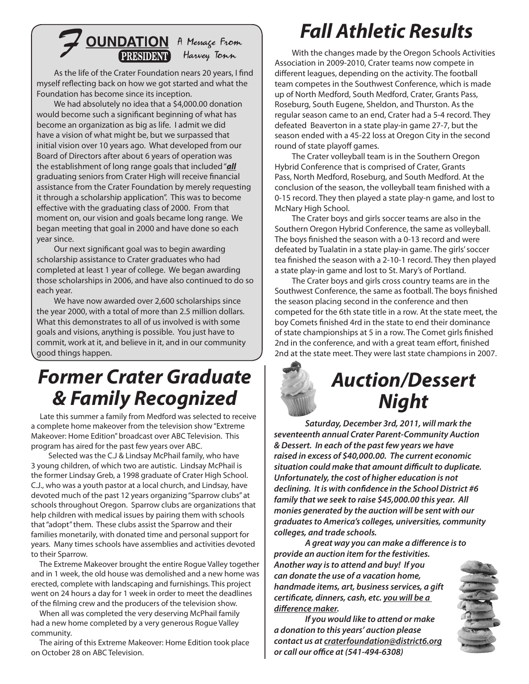## **OUNDATION** A Menage From

As the life of the Crater Foundation nears 20 years, I find myself reflecting back on how we got started and what the Foundation has become since its inception.

We had absolutely no idea that a \$4,000.00 donation would become such a significant beginning of what has become an organization as big as life. I admit we did have a vision of what might be, but we surpassed that initial vision over 10 years ago. What developed from our Board of Directors after about 6 years of operation was the establishment of long range goals that included "*all* graduating seniors from Crater High will receive financial assistance from the Crater Foundation by merely requesting it through a scholarship application". This was to become effective with the graduating class of 2000. From that moment on, our vision and goals became long range. We began meeting that goal in 2000 and have done so each year since.

Our next significant goal was to begin awarding scholarship assistance to Crater graduates who had completed at least 1 year of college. We began awarding those scholarships in 2006, and have also continued to do so each year.

We have now awarded over 2,600 scholarships since the year 2000, with a total of more than 2.5 million dollars. What this demonstrates to all of us involved is with some goals and visions, anything is possible. You just have to commit, work at it, and believe in it, and in our community good things happen.

### *Former Crater Graduate & Family Recognized*

 Late this summer a family from Medford was selected to receive a complete home makeover from the television show "Extreme Makeover: Home Edition" broadcast over ABC Television. This program has aired for the past few years over ABC.

Selected was the C.J & Lindsay McPhail family, who have 3 young children, of which two are autistic. Lindsay McPhail is the former Lindsay Greb, a 1998 graduate of Crater High School. C.J., who was a youth pastor at a local church, and Lindsay, have devoted much of the past 12 years organizing "Sparrow clubs" at schools throughout Oregon. Sparrow clubs are organizations that help children with medical issues by pairing them with schools that "adopt" them. These clubs assist the Sparrow and their families monetarily, with donated time and personal support for years. Many times schools have assemblies and activities devoted to their Sparrow.

 The Extreme Makeover brought the entire Rogue Valley together and in 1 week, the old house was demolished and a new home was erected, complete with landscaping and furnishings. This project went on 24 hours a day for 1 week in order to meet the deadlines of the filming crew and the producers of the television show.

 When all was completed the very deserving McPhail family had a new home completed by a very generous Rogue Valley community.

 The airing of this Extreme Makeover: Home Edition took place on October 28 on ABC Television.

## *Fall Athletic Results*

With the changes made by the Oregon Schools Activities Association in 2009-2010, Crater teams now compete in different leagues, depending on the activity. The football team competes in the Southwest Conference, which is made up of North Medford, South Medford, Crater, Grants Pass, Roseburg, South Eugene, Sheldon, and Thurston. As the regular season came to an end, Crater had a 5-4 record. They defeated Beaverton in a state play-in game 27-7, but the season ended with a 45-22 loss at Oregon City in the second round of state playoff games.

The Crater volleyball team is in the Southern Oregon Hybrid Conference that is comprised of Crater, Grants Pass, North Medford, Roseburg, and South Medford. At the conclusion of the season, the volleyball team finished with a 0-15 record. They then played a state play-n game, and lost to McNary High School.

The Crater boys and girls soccer teams are also in the Southern Oregon Hybrid Conference, the same as volleyball. The boys finished the season with a 0-13 record and were defeated by Tualatin in a state play-in game. The girls' soccer tea finished the season with a 2-10-1 record. They then played a state play-in game and lost to St. Mary's of Portland.

The Crater boys and girls cross country teams are in the Southwest Conference, the same as football. The boys finished the season placing second in the conference and then competed for the 6th state title in a row. At the state meet, the boy Comets finished 4rd in the state to end their dominance of state championships at 5 in a row. The Comet girls finished 2nd in the conference, and with a great team effort, finished 2nd at the state meet. They were last state champions in 2007.



*Saturday, December 3rd, 2011, will mark the seventeenth annual Crater Parent-Community Auction & Dessert. In each of the past few years we have raised in excess of \$40,000.00. The current economic situation could make that amount difficult to duplicate. Unfortunately, the cost of higher education is not declining. It is with confidence in the School District #6 family that we seek to raise \$45,000.00 this year. All monies generated by the auction will be sent with our graduates to America's colleges, universities, community colleges, and trade schools.*

*A great way you can make a difference is to provide an auction item for the festivities. Another way is to attend and buy! If you can donate the use of a vacation home, handmade items, art, business services, a gift certificate, dinners, cash, etc. you will be a difference maker.* 

*If you would like to attend or make a donation to this years' auction please contact us at craterfoundation@district6.org or call our office at (541-494-6308)*